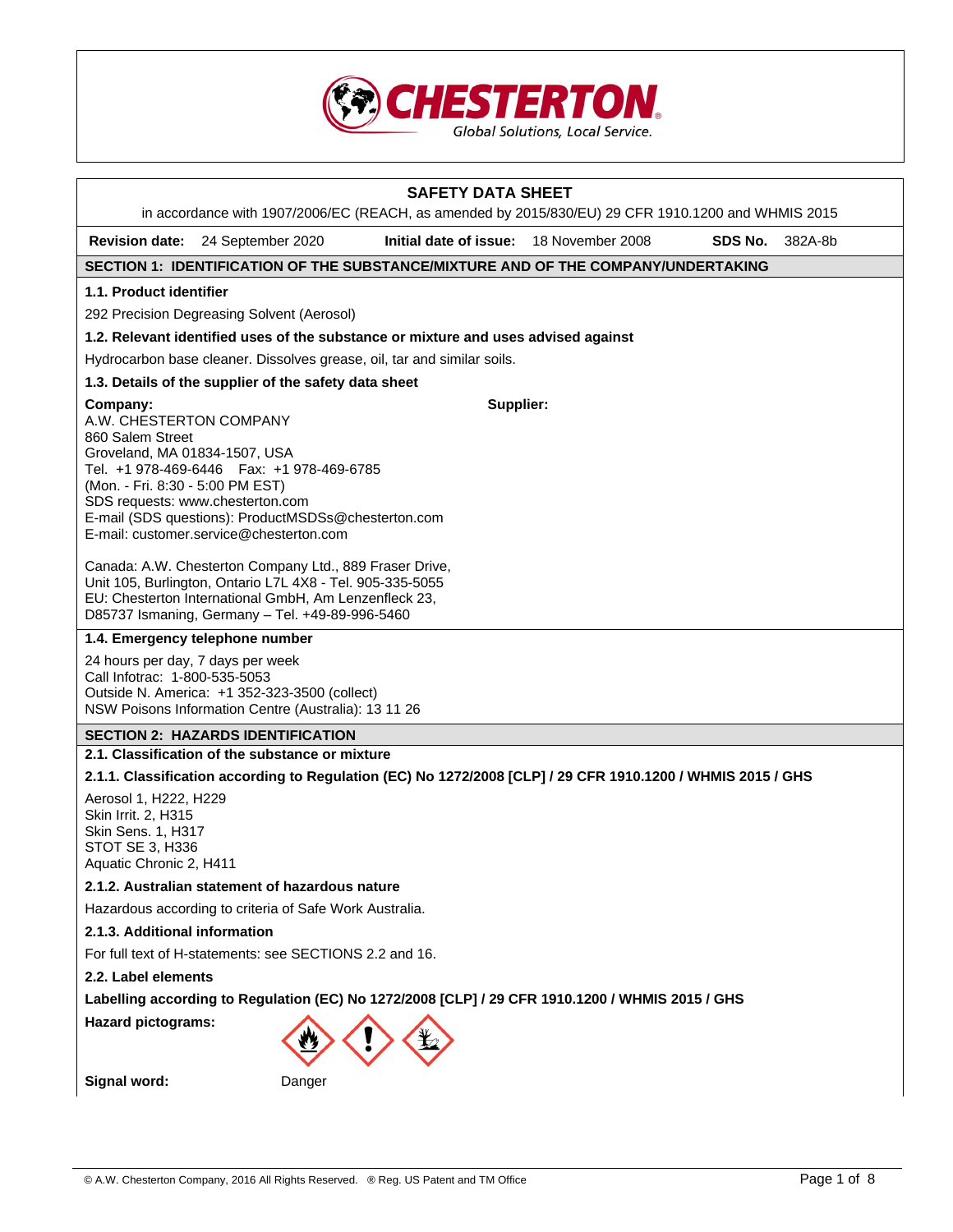

| <b>SAFETY DATA SHEET</b>                                                                                                                                                                                                                                                                                                       |                    |
|--------------------------------------------------------------------------------------------------------------------------------------------------------------------------------------------------------------------------------------------------------------------------------------------------------------------------------|--------------------|
| in accordance with 1907/2006/EC (REACH, as amended by 2015/830/EU) 29 CFR 1910.1200 and WHMIS 2015                                                                                                                                                                                                                             |                    |
| Initial date of issue: 18 November 2008<br><b>Revision date:</b><br>24 September 2020                                                                                                                                                                                                                                          | SDS No.<br>382A-8b |
| SECTION 1: IDENTIFICATION OF THE SUBSTANCE/MIXTURE AND OF THE COMPANY/UNDERTAKING                                                                                                                                                                                                                                              |                    |
| 1.1. Product identifier                                                                                                                                                                                                                                                                                                        |                    |
| 292 Precision Degreasing Solvent (Aerosol)                                                                                                                                                                                                                                                                                     |                    |
| 1.2. Relevant identified uses of the substance or mixture and uses advised against                                                                                                                                                                                                                                             |                    |
| Hydrocarbon base cleaner. Dissolves grease, oil, tar and similar soils.                                                                                                                                                                                                                                                        |                    |
| 1.3. Details of the supplier of the safety data sheet                                                                                                                                                                                                                                                                          |                    |
| Supplier:<br>Company:<br>A.W. CHESTERTON COMPANY<br>860 Salem Street<br>Groveland, MA 01834-1507, USA<br>Tel. +1 978-469-6446   Fax: +1 978-469-6785<br>(Mon. - Fri. 8:30 - 5:00 PM EST)<br>SDS requests: www.chesterton.com<br>E-mail (SDS questions): ProductMSDSs@chesterton.com<br>E-mail: customer.service@chesterton.com |                    |
| Canada: A.W. Chesterton Company Ltd., 889 Fraser Drive,<br>Unit 105, Burlington, Ontario L7L 4X8 - Tel. 905-335-5055<br>EU: Chesterton International GmbH, Am Lenzenfleck 23,<br>D85737 Ismaning, Germany - Tel. +49-89-996-5460                                                                                               |                    |
| 1.4. Emergency telephone number                                                                                                                                                                                                                                                                                                |                    |
| 24 hours per day, 7 days per week<br>Call Infotrac: 1-800-535-5053<br>Outside N. America: +1 352-323-3500 (collect)<br>NSW Poisons Information Centre (Australia): 13 11 26                                                                                                                                                    |                    |
| <b>SECTION 2: HAZARDS IDENTIFICATION</b>                                                                                                                                                                                                                                                                                       |                    |
| 2.1. Classification of the substance or mixture                                                                                                                                                                                                                                                                                |                    |
| 2.1.1. Classification according to Regulation (EC) No 1272/2008 [CLP] / 29 CFR 1910.1200 / WHMIS 2015 / GHS                                                                                                                                                                                                                    |                    |
| Aerosol 1, H222, H229<br>Skin Irrit. 2, H315<br>Skin Sens. 1, H317<br>STOT SE 3, H336<br>Aquatic Chronic 2, H411                                                                                                                                                                                                               |                    |
| 2.1.2. Australian statement of hazardous nature                                                                                                                                                                                                                                                                                |                    |
| Hazardous according to criteria of Safe Work Australia.                                                                                                                                                                                                                                                                        |                    |
| 2.1.3. Additional information                                                                                                                                                                                                                                                                                                  |                    |
| For full text of H-statements: see SECTIONS 2.2 and 16.                                                                                                                                                                                                                                                                        |                    |
| 2.2. Label elements                                                                                                                                                                                                                                                                                                            |                    |
| Labelling according to Regulation (EC) No 1272/2008 [CLP] / 29 CFR 1910.1200 / WHMIS 2015 / GHS                                                                                                                                                                                                                                |                    |
| <b>Hazard pictograms:</b>                                                                                                                                                                                                                                                                                                      |                    |
| Signal word:<br>Danger                                                                                                                                                                                                                                                                                                         |                    |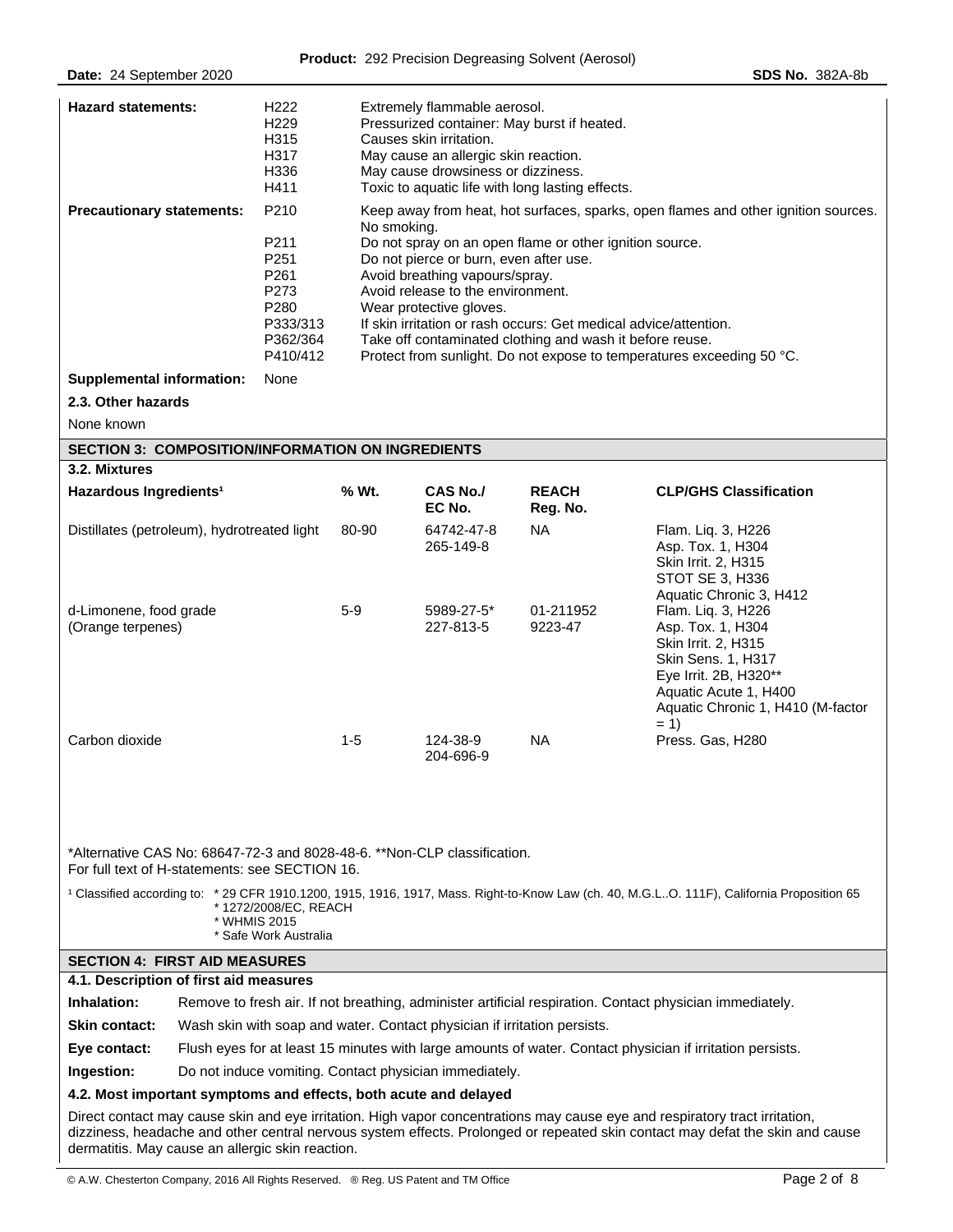| <b>Hazard statements:</b><br><b>Precautionary statements:</b>                                                              | H222<br>H <sub>229</sub><br>H315<br>H317<br>H336<br>H411<br>P210         | Extremely flammable aerosol.<br>Pressurized container: May burst if heated.<br>Causes skin irritation.<br>May cause an allergic skin reaction.<br>May cause drowsiness or dizziness.<br>Toxic to aquatic life with long lasting effects. |                                                                                                                                                                                                                                                                                                                                                                                                                                                                                                                   |                          |                                                                                                                                                                                                                                                              |  |
|----------------------------------------------------------------------------------------------------------------------------|--------------------------------------------------------------------------|------------------------------------------------------------------------------------------------------------------------------------------------------------------------------------------------------------------------------------------|-------------------------------------------------------------------------------------------------------------------------------------------------------------------------------------------------------------------------------------------------------------------------------------------------------------------------------------------------------------------------------------------------------------------------------------------------------------------------------------------------------------------|--------------------------|--------------------------------------------------------------------------------------------------------------------------------------------------------------------------------------------------------------------------------------------------------------|--|
|                                                                                                                            | P211<br>P251<br>P261<br>P273<br>P280<br>P333/313<br>P362/364<br>P410/412 |                                                                                                                                                                                                                                          | Keep away from heat, hot surfaces, sparks, open flames and other ignition sources.<br>No smoking.<br>Do not spray on an open flame or other ignition source.<br>Do not pierce or burn, even after use.<br>Avoid breathing vapours/spray.<br>Avoid release to the environment.<br>Wear protective gloves.<br>If skin irritation or rash occurs: Get medical advice/attention.<br>Take off contaminated clothing and wash it before reuse.<br>Protect from sunlight. Do not expose to temperatures exceeding 50 °C. |                          |                                                                                                                                                                                                                                                              |  |
| <b>Supplemental information:</b>                                                                                           | None                                                                     |                                                                                                                                                                                                                                          |                                                                                                                                                                                                                                                                                                                                                                                                                                                                                                                   |                          |                                                                                                                                                                                                                                                              |  |
| 2.3. Other hazards                                                                                                         |                                                                          |                                                                                                                                                                                                                                          |                                                                                                                                                                                                                                                                                                                                                                                                                                                                                                                   |                          |                                                                                                                                                                                                                                                              |  |
| None known                                                                                                                 |                                                                          |                                                                                                                                                                                                                                          |                                                                                                                                                                                                                                                                                                                                                                                                                                                                                                                   |                          |                                                                                                                                                                                                                                                              |  |
| <b>SECTION 3: COMPOSITION/INFORMATION ON INGREDIENTS</b><br>3.2. Mixtures                                                  |                                                                          |                                                                                                                                                                                                                                          |                                                                                                                                                                                                                                                                                                                                                                                                                                                                                                                   |                          |                                                                                                                                                                                                                                                              |  |
| Hazardous Ingredients <sup>1</sup>                                                                                         |                                                                          | % Wt.                                                                                                                                                                                                                                    | <b>CAS No./</b><br>EC No.                                                                                                                                                                                                                                                                                                                                                                                                                                                                                         | <b>REACH</b><br>Reg. No. | <b>CLP/GHS Classification</b>                                                                                                                                                                                                                                |  |
| Distillates (petroleum), hydrotreated light                                                                                |                                                                          | 80-90                                                                                                                                                                                                                                    | 64742-47-8<br>265-149-8                                                                                                                                                                                                                                                                                                                                                                                                                                                                                           | <b>NA</b>                | Flam. Lig. 3, H226<br>Asp. Tox. 1, H304<br>Skin Irrit. 2, H315<br>STOT SE 3, H336<br>Aquatic Chronic 3, H412                                                                                                                                                 |  |
| d-Limonene, food grade<br>(Orange terpenes)                                                                                |                                                                          | $5-9$                                                                                                                                                                                                                                    | 5989-27-5*<br>227-813-5                                                                                                                                                                                                                                                                                                                                                                                                                                                                                           | 01-211952<br>9223-47     | Flam. Liq. 3, H226<br>Asp. Tox. 1, H304<br>Skin Irrit. 2, H315<br>Skin Sens. 1, H317<br>Eye Irrit. 2B, H320**<br>Aquatic Acute 1, H400<br>Aquatic Chronic 1, H410 (M-factor<br>$= 1$                                                                         |  |
| Carbon dioxide                                                                                                             |                                                                          | $1 - 5$                                                                                                                                                                                                                                  | 124-38-9<br>204-696-9                                                                                                                                                                                                                                                                                                                                                                                                                                                                                             | <b>NA</b>                | Press. Gas, H280                                                                                                                                                                                                                                             |  |
| *Alternative CAS No: 68647-72-3 and 8028-48-6. **Non-CLP classification.<br>For full text of H-statements: see SECTION 16. |                                                                          |                                                                                                                                                                                                                                          |                                                                                                                                                                                                                                                                                                                                                                                                                                                                                                                   |                          |                                                                                                                                                                                                                                                              |  |
|                                                                                                                            | *1272/2008/EC, REACH<br>* WHMIS 2015<br>* Safe Work Australia            |                                                                                                                                                                                                                                          |                                                                                                                                                                                                                                                                                                                                                                                                                                                                                                                   |                          | <sup>1</sup> Classified according to: * 29 CFR 1910.1200, 1915, 1916, 1917, Mass. Right-to-Know Law (ch. 40, M.G.LO. 111F), California Proposition 65                                                                                                        |  |
| <b>SECTION 4: FIRST AID MEASURES</b>                                                                                       |                                                                          |                                                                                                                                                                                                                                          |                                                                                                                                                                                                                                                                                                                                                                                                                                                                                                                   |                          |                                                                                                                                                                                                                                                              |  |
| 4.1. Description of first aid measures                                                                                     |                                                                          |                                                                                                                                                                                                                                          |                                                                                                                                                                                                                                                                                                                                                                                                                                                                                                                   |                          |                                                                                                                                                                                                                                                              |  |
| Inhalation:                                                                                                                |                                                                          |                                                                                                                                                                                                                                          |                                                                                                                                                                                                                                                                                                                                                                                                                                                                                                                   |                          | Remove to fresh air. If not breathing, administer artificial respiration. Contact physician immediately.                                                                                                                                                     |  |
| <b>Skin contact:</b>                                                                                                       |                                                                          |                                                                                                                                                                                                                                          | Wash skin with soap and water. Contact physician if irritation persists.                                                                                                                                                                                                                                                                                                                                                                                                                                          |                          |                                                                                                                                                                                                                                                              |  |
| Eye contact:<br>Ingestion:                                                                                                 |                                                                          |                                                                                                                                                                                                                                          | Do not induce vomiting. Contact physician immediately.                                                                                                                                                                                                                                                                                                                                                                                                                                                            |                          | Flush eyes for at least 15 minutes with large amounts of water. Contact physician if irritation persists.                                                                                                                                                    |  |
| 4.2. Most important symptoms and effects, both acute and delayed                                                           |                                                                          |                                                                                                                                                                                                                                          |                                                                                                                                                                                                                                                                                                                                                                                                                                                                                                                   |                          |                                                                                                                                                                                                                                                              |  |
|                                                                                                                            |                                                                          |                                                                                                                                                                                                                                          |                                                                                                                                                                                                                                                                                                                                                                                                                                                                                                                   |                          | Direct contact may cause skin and eye irritation. High vapor concentrations may cause eye and respiratory tract irritation,<br>dizziness, headache and other central nervous system effects. Prolonged or repeated skin contact may defat the skin and cause |  |
| dermatitis. May cause an allergic skin reaction.                                                                           |                                                                          |                                                                                                                                                                                                                                          |                                                                                                                                                                                                                                                                                                                                                                                                                                                                                                                   |                          |                                                                                                                                                                                                                                                              |  |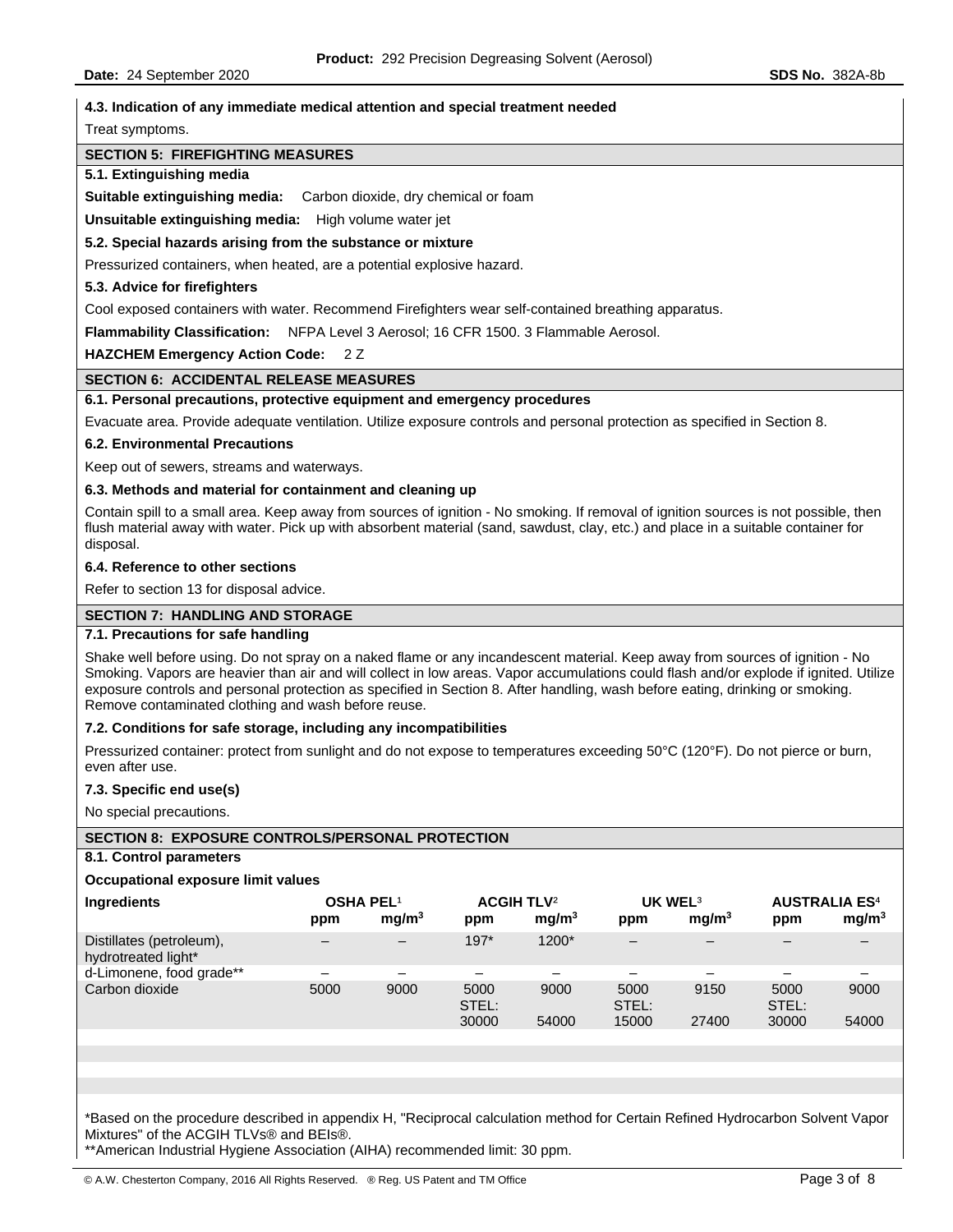# **4.3. Indication of any immediate medical attention and special treatment needed**

Treat symptoms.

### **SECTION 5: FIREFIGHTING MEASURES**

### **5.1. Extinguishing media**

**Suitable extinguishing media:** Carbon dioxide, dry chemical or foam

**Unsuitable extinguishing media:** High volume water jet

**5.2. Special hazards arising from the substance or mixture** 

Pressurized containers, when heated, are a potential explosive hazard.

### **5.3. Advice for firefighters**

Cool exposed containers with water. Recommend Firefighters wear self-contained breathing apparatus.

**Flammability Classification:** NFPA Level 3 Aerosol; 16 CFR 1500. 3 Flammable Aerosol.

**HAZCHEM Emergency Action Code:** 2 Z

# **SECTION 6: ACCIDENTAL RELEASE MEASURES**

# **6.1. Personal precautions, protective equipment and emergency procedures**

Evacuate area. Provide adequate ventilation. Utilize exposure controls and personal protection as specified in Section 8.

### **6.2. Environmental Precautions**

Keep out of sewers, streams and waterways.

### **6.3. Methods and material for containment and cleaning up**

Contain spill to a small area. Keep away from sources of ignition - No smoking. If removal of ignition sources is not possible, then flush material away with water. Pick up with absorbent material (sand, sawdust, clay, etc.) and place in a suitable container for disposal.

### **6.4. Reference to other sections**

Refer to section 13 for disposal advice.

# **SECTION 7: HANDLING AND STORAGE**

### **7.1. Precautions for safe handling**

Shake well before using. Do not spray on a naked flame or any incandescent material. Keep away from sources of ignition - No Smoking. Vapors are heavier than air and will collect in low areas. Vapor accumulations could flash and/or explode if ignited. Utilize exposure controls and personal protection as specified in Section 8. After handling, wash before eating, drinking or smoking. Remove contaminated clothing and wash before reuse.

### **7.2. Conditions for safe storage, including any incompatibilities**

Pressurized container: protect from sunlight and do not expose to temperatures exceeding 50°C (120°F). Do not pierce or burn, even after use.

### **7.3. Specific end use(s)**

No special precautions.

# **SECTION 8: EXPOSURE CONTROLS/PERSONAL PROTECTION**

### **8.1. Control parameters**

### **Occupational exposure limit values**

| <b>Ingredients</b>                              | <b>OSHA PEL1</b><br>ppm | mq/m <sup>3</sup> | <b>ACGIH TLV<sup>2</sup></b><br>ppm | mq/m <sup>3</sup> | UK WEL <sup>3</sup><br>ppm | mq/m <sup>3</sup> | <b>AUSTRALIA ES4</b><br>ppm | mg/m <sup>3</sup> |
|-------------------------------------------------|-------------------------|-------------------|-------------------------------------|-------------------|----------------------------|-------------------|-----------------------------|-------------------|
| Distillates (petroleum),<br>hydrotreated light* |                         | -                 | $197*$                              | 1200*             | -                          |                   |                             |                   |
| d-Limonene, food grade**                        |                         |                   |                                     |                   |                            |                   |                             |                   |
| Carbon dioxide                                  | 5000                    | 9000              | 5000<br>STEL:                       | 9000              | 5000<br>STEL:              | 9150              | 5000<br>STEL:               | 9000              |
|                                                 |                         |                   | 30000                               | 54000             | 15000                      | 27400             | 30000                       | 54000             |
|                                                 |                         |                   |                                     |                   |                            |                   |                             |                   |

\*Based on the procedure described in appendix H, "Reciprocal calculation method for Certain Refined Hydrocarbon Solvent Vapor Mixtures" of the ACGIH TLVs® and BEIs®.

\*\*American Industrial Hygiene Association (AIHA) recommended limit: 30 ppm.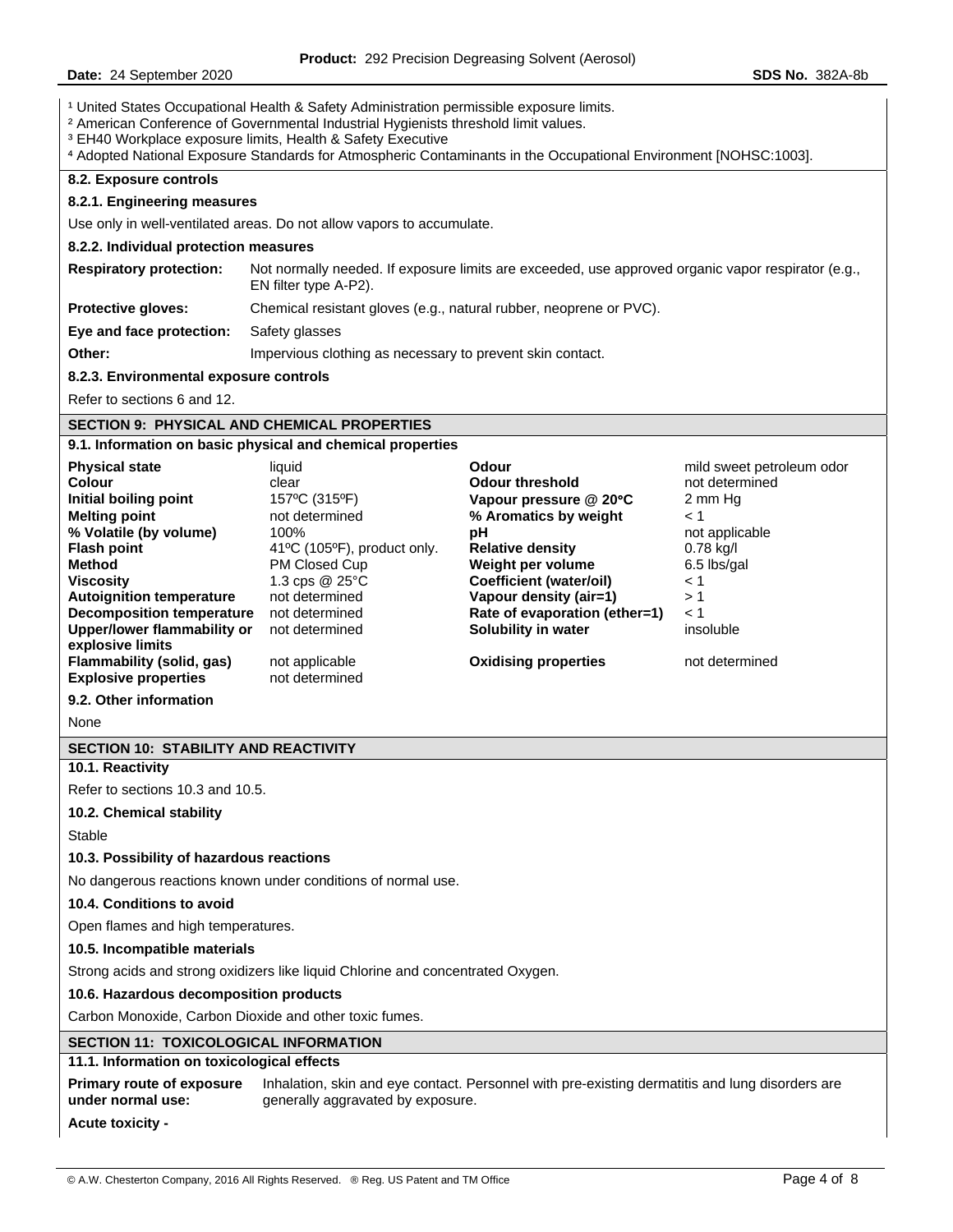**Date:** 24 September 2020 **SDS No.** 382A-8b

<sup>1</sup> United States Occupational Health & Safety Administration permissible exposure limits.

² American Conference of Governmental Industrial Hygienists threshold limit values.

³ EH40 Workplace exposure limits, Health & Safety Executive

⁴ Adopted National Exposure Standards for Atmospheric Contaminants in the Occupational Environment [NOHSC:1003].

### **8.2. Exposure controls**

### **8.2.1. Engineering measures**

Use only in well-ventilated areas. Do not allow vapors to accumulate.

# **8.2.2. Individual protection measures**

| <b>Respiratory protection:</b> | Not normally needed. If exposure limits are exceeded, use approved organic vapor respirator (e.g., |
|--------------------------------|----------------------------------------------------------------------------------------------------|
|                                | EN filter type A-P2).                                                                              |
| <b>Protective gloves:</b>      | Chemical resistant gloves (e.g., natural rubber, neoprene or PVC).                                 |

**Eye and face protection:** Safety glasses

**Other: Impervious clothing as necessary to prevent skin contact.** 

# **8.2.3. Environmental exposure controls**

Refer to sections 6 and 12.

# **SECTION 9: PHYSICAL AND CHEMICAL PROPERTIES**

### **9.1. Information on basic physical and chemical properties**

| <b>Physical state</b>                                                        | liquid                           | Odour                          | mild sweet petroleum odor |
|------------------------------------------------------------------------------|----------------------------------|--------------------------------|---------------------------|
| Colour                                                                       | clear                            | <b>Odour threshold</b>         | not determined            |
| Initial boiling point                                                        | 157°C (315°F)                    | Vapour pressure $@$ 20 $°C$    | 2 mm Hg                   |
| <b>Melting point</b>                                                         | not determined                   | % Aromatics by weight          | $\leq 1$                  |
| % Volatile (by volume)                                                       | 100%                             | рH                             | not applicable            |
| <b>Flash point</b>                                                           | 41°C (105°F), product only.      | <b>Relative density</b>        | $0.78$ kg/l               |
| Method                                                                       | PM Closed Cup                    | Weight per volume              | 6.5 lbs/gal               |
| <b>Viscosity</b>                                                             | 1.3 cps $@$ 25 $°C$              | <b>Coefficient (water/oil)</b> | $\leq 1$                  |
| <b>Autoignition temperature</b>                                              | not determined                   | Vapour density (air=1)         | >1                        |
| <b>Decomposition temperature</b>                                             | not determined                   | Rate of evaporation (ether=1)  | < 1                       |
| <b>Upper/lower flammability or</b>                                           | not determined                   | Solubility in water            | insoluble                 |
| explosive limits<br>Flammability (solid, gas)<br><b>Explosive properties</b> | not applicable<br>not determined | <b>Oxidising properties</b>    | not determined            |

**9.2. Other information** 

None

# **SECTION 10: STABILITY AND REACTIVITY**

# **10.1. Reactivity**

Refer to sections 10.3 and 10.5.

# **10.2. Chemical stability**

Stable

# **10.3. Possibility of hazardous reactions**

No dangerous reactions known under conditions of normal use.

# **10.4. Conditions to avoid**

Open flames and high temperatures.

### **10.5. Incompatible materials**

Strong acids and strong oxidizers like liquid Chlorine and concentrated Oxygen.

# **10.6. Hazardous decomposition products**

Carbon Monoxide, Carbon Dioxide and other toxic fumes.

# **SECTION 11: TOXICOLOGICAL INFORMATION**

# **11.1. Information on toxicological effects**

**Primary route of exposure under normal use:**  Inhalation, skin and eye contact. Personnel with pre-existing dermatitis and lung disorders are generally aggravated by exposure.

**Acute toxicity -**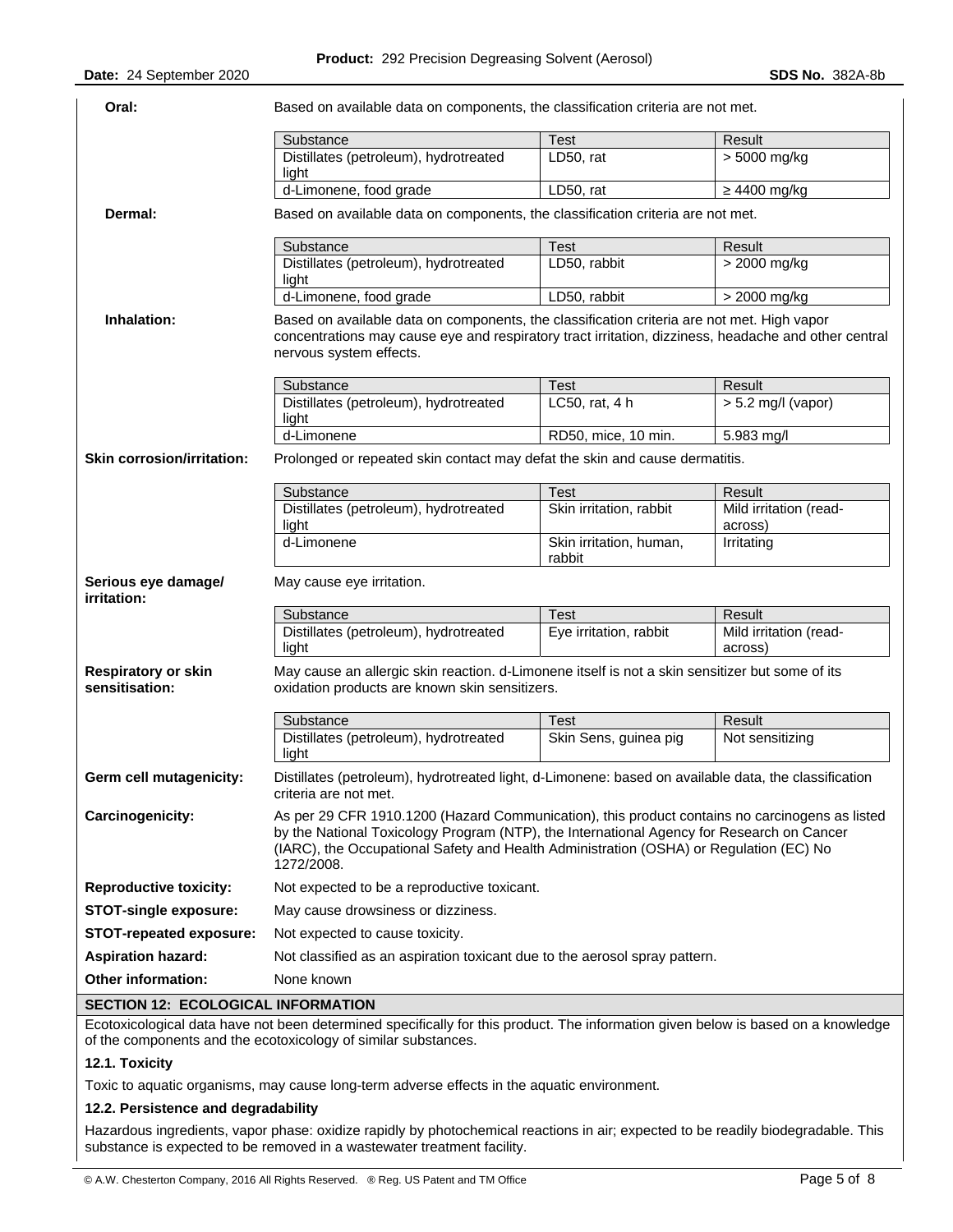| Oral:                                        | Based on available data on components, the classification criteria are not met.                                                                                                                                                                                                                     |                                   |                                   |
|----------------------------------------------|-----------------------------------------------------------------------------------------------------------------------------------------------------------------------------------------------------------------------------------------------------------------------------------------------------|-----------------------------------|-----------------------------------|
|                                              | Substance                                                                                                                                                                                                                                                                                           | <b>Test</b>                       | Result                            |
|                                              | Distillates (petroleum), hydrotreated<br>light                                                                                                                                                                                                                                                      | LD50, rat                         | > 5000 mg/kg                      |
|                                              | d-Limonene, food grade                                                                                                                                                                                                                                                                              | LD50, rat                         | $\geq$ 4400 mg/kg                 |
| Dermal:                                      | Based on available data on components, the classification criteria are not met.                                                                                                                                                                                                                     |                                   |                                   |
|                                              | Substance                                                                                                                                                                                                                                                                                           | Test                              | Result                            |
|                                              | Distillates (petroleum), hydrotreated<br>light                                                                                                                                                                                                                                                      | LD50, rabbit                      | > 2000 mg/kg                      |
|                                              | d-Limonene, food grade                                                                                                                                                                                                                                                                              | LD50, rabbit                      | > 2000 mg/kg                      |
| Inhalation:                                  | Based on available data on components, the classification criteria are not met. High vapor<br>concentrations may cause eye and respiratory tract irritation, dizziness, headache and other central<br>nervous system effects.                                                                       |                                   |                                   |
|                                              | Substance                                                                                                                                                                                                                                                                                           | <b>Test</b>                       | Result                            |
|                                              | Distillates (petroleum), hydrotreated<br>light                                                                                                                                                                                                                                                      | LC50, rat, 4 h                    | $> 5.2$ mg/l (vapor)              |
|                                              | d-Limonene                                                                                                                                                                                                                                                                                          | RD50, mice, 10 min.               | 5.983 mg/l                        |
| <b>Skin corrosion/irritation:</b>            | Prolonged or repeated skin contact may defat the skin and cause dermatitis.                                                                                                                                                                                                                         |                                   |                                   |
|                                              | Substance                                                                                                                                                                                                                                                                                           | <b>Test</b>                       | Result                            |
|                                              | Distillates (petroleum), hydrotreated<br>light                                                                                                                                                                                                                                                      | Skin irritation, rabbit           | Mild irritation (read-<br>across) |
|                                              | d-Limonene                                                                                                                                                                                                                                                                                          | Skin irritation, human,<br>rabbit | Irritating                        |
| Serious eye damage/<br><i>irritation:</i>    | May cause eye irritation.                                                                                                                                                                                                                                                                           |                                   |                                   |
|                                              | Substance                                                                                                                                                                                                                                                                                           | <b>Test</b>                       | Result                            |
|                                              | Distillates (petroleum), hydrotreated<br>light                                                                                                                                                                                                                                                      | Eye irritation, rabbit            | Mild irritation (read-<br>across) |
| <b>Respiratory or skin</b><br>sensitisation: | May cause an allergic skin reaction. d-Limonene itself is not a skin sensitizer but some of its<br>oxidation products are known skin sensitizers.                                                                                                                                                   |                                   |                                   |
|                                              | Substance                                                                                                                                                                                                                                                                                           | Test                              | Result                            |
|                                              | Distillates (petroleum), hydrotreated<br>light                                                                                                                                                                                                                                                      | Skin Sens, guinea pig             | Not sensitizing                   |
| Germ cell mutagenicity:                      | Distillates (petroleum), hydrotreated light, d-Limonene: based on available data, the classification<br>criteria are not met.                                                                                                                                                                       |                                   |                                   |
| Carcinogenicity:                             | As per 29 CFR 1910.1200 (Hazard Communication), this product contains no carcinogens as listed<br>by the National Toxicology Program (NTP), the International Agency for Research on Cancer<br>(IARC), the Occupational Safety and Health Administration (OSHA) or Regulation (EC) No<br>1272/2008. |                                   |                                   |
| <b>Reproductive toxicity:</b>                | Not expected to be a reproductive toxicant.                                                                                                                                                                                                                                                         |                                   |                                   |
| <b>STOT-single exposure:</b>                 | May cause drowsiness or dizziness.                                                                                                                                                                                                                                                                  |                                   |                                   |
| <b>STOT-repeated exposure:</b>               | Not expected to cause toxicity.                                                                                                                                                                                                                                                                     |                                   |                                   |
| <b>Aspiration hazard:</b>                    | Not classified as an aspiration toxicant due to the aerosol spray pattern.                                                                                                                                                                                                                          |                                   |                                   |
| Other information:                           | None known                                                                                                                                                                                                                                                                                          |                                   |                                   |
| <b>SECTION 12: ECOLOGICAL INFORMATION</b>    |                                                                                                                                                                                                                                                                                                     |                                   |                                   |
|                                              | Ecotoxicological data have not been determined specifically for this product. The information given below is based on a knowledge                                                                                                                                                                   |                                   |                                   |
|                                              | of the components and the ecotoxicology of similar substances.                                                                                                                                                                                                                                      |                                   |                                   |

# **12.1. Toxicity**

Toxic to aquatic organisms, may cause long-term adverse effects in the aquatic environment.

### **12.2. Persistence and degradability**

Hazardous ingredients, vapor phase: oxidize rapidly by photochemical reactions in air; expected to be readily biodegradable. This substance is expected to be removed in a wastewater treatment facility.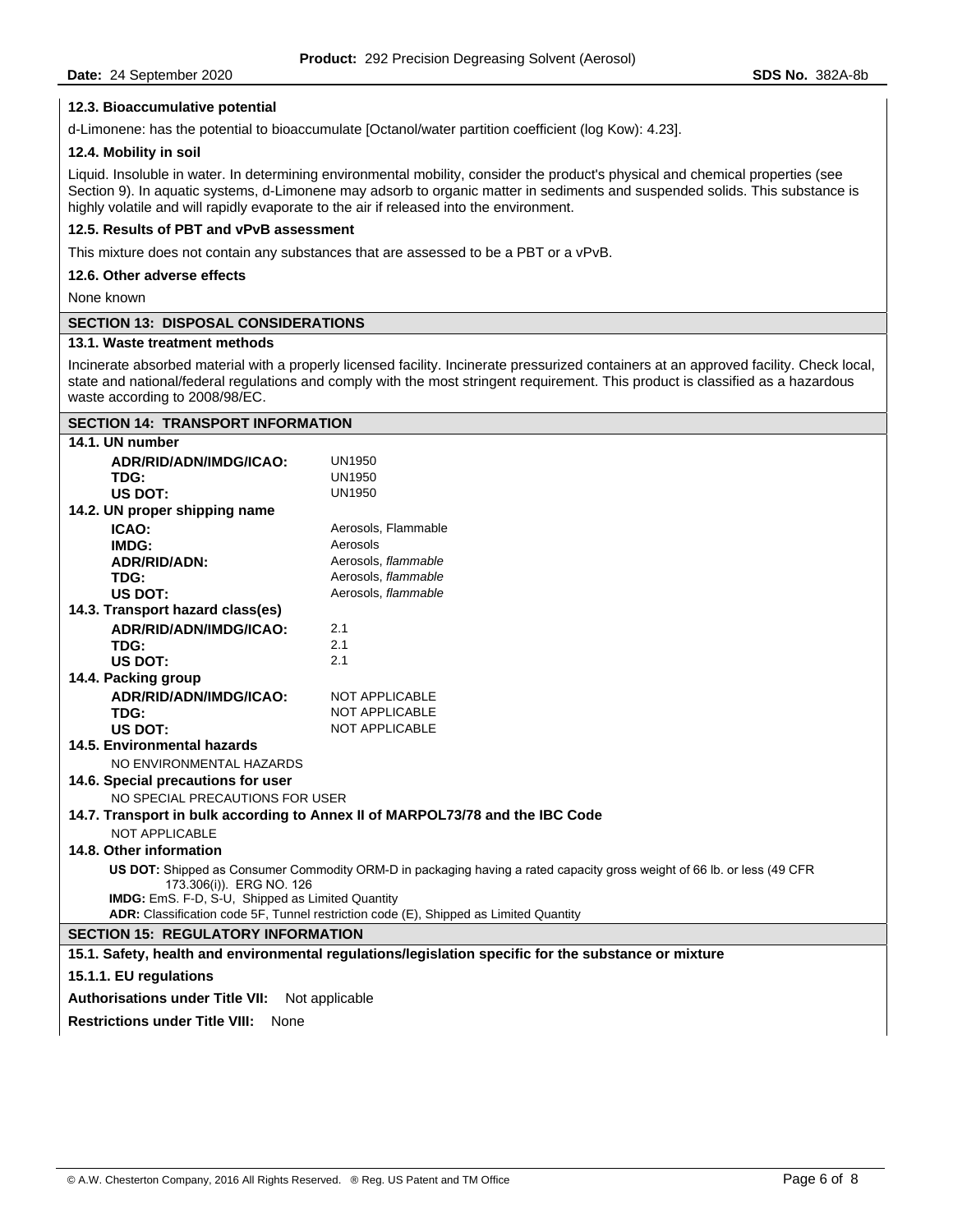# **12.3. Bioaccumulative potential**

d-Limonene: has the potential to bioaccumulate [Octanol/water partition coefficient (log Kow): 4.23].

### **12.4. Mobility in soil**

Liquid. Insoluble in water. In determining environmental mobility, consider the product's physical and chemical properties (see Section 9). In aquatic systems, d-Limonene may adsorb to organic matter in sediments and suspended solids. This substance is highly volatile and will rapidly evaporate to the air if released into the environment.

# **12.5. Results of PBT and vPvB assessment**

This mixture does not contain any substances that are assessed to be a PBT or a vPvB.

**12.6. Other adverse effects** 

None known

### **SECTION 13: DISPOSAL CONSIDERATIONS**

# **13.1. Waste treatment methods**

Incinerate absorbed material with a properly licensed facility. Incinerate pressurized containers at an approved facility. Check local, state and national/federal regulations and comply with the most stringent requirement. This product is classified as a hazardous waste according to 2008/98/EC.

| <b>SECTION 14: TRANSPORT INFORMATION</b>         |                                                                                                                         |
|--------------------------------------------------|-------------------------------------------------------------------------------------------------------------------------|
| 14.1. UN number                                  |                                                                                                                         |
| ADR/RID/ADN/IMDG/ICAO:                           | <b>UN1950</b>                                                                                                           |
| TDG:                                             | <b>UN1950</b>                                                                                                           |
| US DOT:                                          | <b>UN1950</b>                                                                                                           |
| 14.2. UN proper shipping name                    |                                                                                                                         |
| ICAO:                                            | Aerosols, Flammable                                                                                                     |
| IMDG:                                            | Aerosols                                                                                                                |
| <b>ADR/RID/ADN:</b>                              | Aerosols, flammable                                                                                                     |
| TDG:                                             | Aerosols, flammable                                                                                                     |
| US DOT:                                          | Aerosols, flammable                                                                                                     |
| 14.3. Transport hazard class(es)                 |                                                                                                                         |
| ADR/RID/ADN/IMDG/ICAO:                           | 2.1                                                                                                                     |
| TDG:                                             | 2.1                                                                                                                     |
| <b>US DOT:</b>                                   | 2.1                                                                                                                     |
| 14.4. Packing group                              |                                                                                                                         |
| ADR/RID/ADN/IMDG/ICAO:                           | <b>NOT APPLICABLE</b>                                                                                                   |
| TDG:                                             | <b>NOT APPLICABLE</b>                                                                                                   |
| US DOT:                                          | <b>NOT APPLICABLE</b>                                                                                                   |
| 14.5. Environmental hazards                      |                                                                                                                         |
| NO ENVIRONMENTAL HAZARDS                         |                                                                                                                         |
| 14.6. Special precautions for user               |                                                                                                                         |
| NO SPECIAL PRECAUTIONS FOR USER                  |                                                                                                                         |
|                                                  | 14.7. Transport in bulk according to Annex II of MARPOL73/78 and the IBC Code                                           |
| NOT APPLICABLE                                   |                                                                                                                         |
| 14.8. Other information                          |                                                                                                                         |
|                                                  | US DOT: Shipped as Consumer Commodity ORM-D in packaging having a rated capacity gross weight of 66 lb. or less (49 CFR |
| 173.306(i)). ERG NO. 126                         |                                                                                                                         |
| IMDG: EmS. F-D, S-U, Shipped as Limited Quantity |                                                                                                                         |
|                                                  | ADR: Classification code 5F, Tunnel restriction code (E), Shipped as Limited Quantity                                   |
| <b>SECTION 15: REGULATORY INFORMATION</b>        |                                                                                                                         |
|                                                  | 15.1. Safety, health and environmental regulations/legislation specific for the substance or mixture                    |
| 15.1.1. EU regulations                           |                                                                                                                         |
| <b>Authorisations under Title VII:</b>           | Not applicable                                                                                                          |
| <b>Restrictions under Title VIII:</b><br>None    |                                                                                                                         |

 $\mathsf{l}$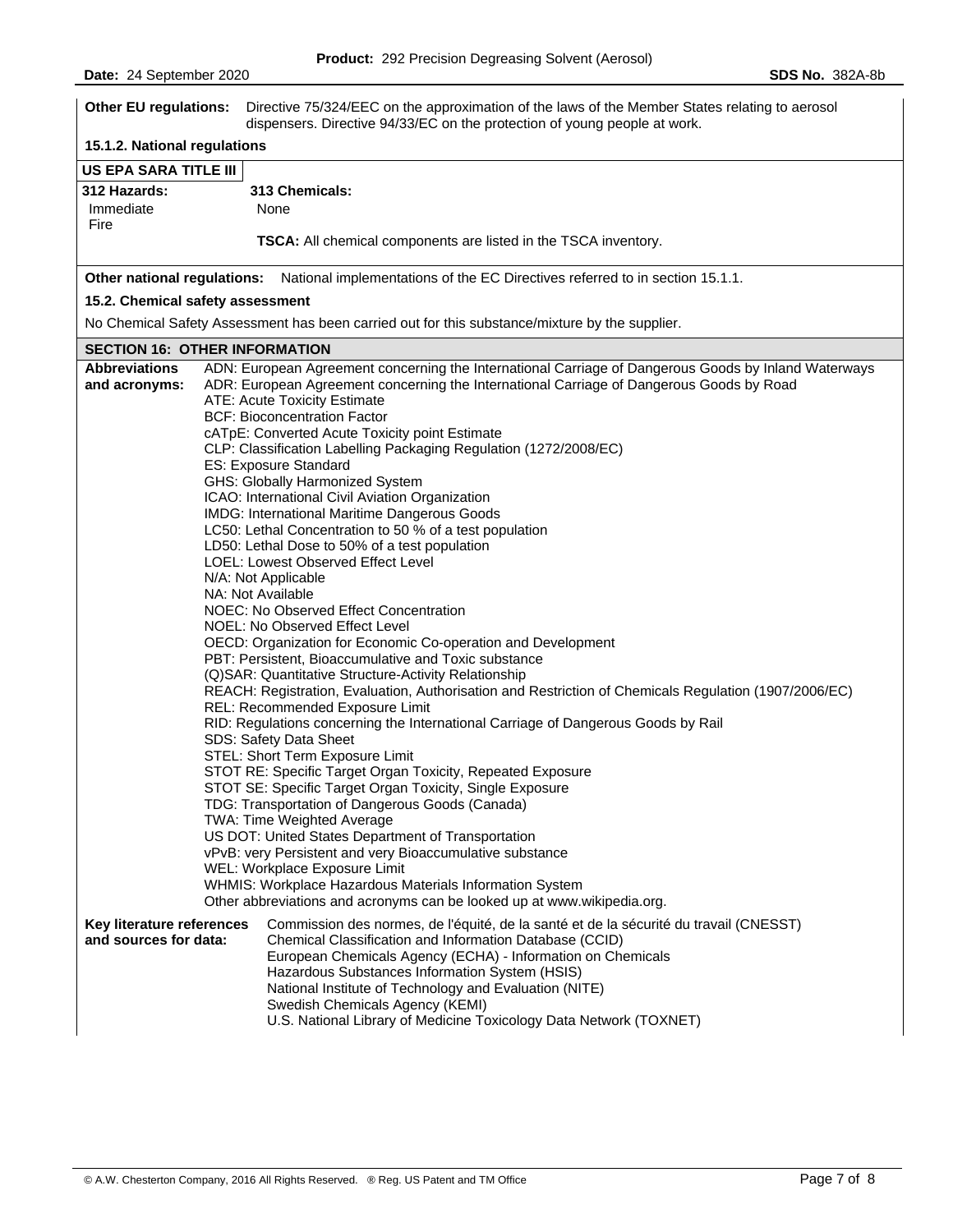| <b>Other EU regulations:</b>                       | Directive 75/324/EEC on the approximation of the laws of the Member States relating to aerosol<br>dispensers. Directive 94/33/EC on the protection of young people at work.                                                                                                                                                                                                                                                                                                                                                                                                                                                                                                                                                                                                                                                                                                                                                                                                                                                                                                                                                                                                                                                                                                                                                                                                                                                                                                                                                                                                                                                                                                                                                                    |
|----------------------------------------------------|------------------------------------------------------------------------------------------------------------------------------------------------------------------------------------------------------------------------------------------------------------------------------------------------------------------------------------------------------------------------------------------------------------------------------------------------------------------------------------------------------------------------------------------------------------------------------------------------------------------------------------------------------------------------------------------------------------------------------------------------------------------------------------------------------------------------------------------------------------------------------------------------------------------------------------------------------------------------------------------------------------------------------------------------------------------------------------------------------------------------------------------------------------------------------------------------------------------------------------------------------------------------------------------------------------------------------------------------------------------------------------------------------------------------------------------------------------------------------------------------------------------------------------------------------------------------------------------------------------------------------------------------------------------------------------------------------------------------------------------------|
| 15.1.2. National regulations                       |                                                                                                                                                                                                                                                                                                                                                                                                                                                                                                                                                                                                                                                                                                                                                                                                                                                                                                                                                                                                                                                                                                                                                                                                                                                                                                                                                                                                                                                                                                                                                                                                                                                                                                                                                |
| US EPA SARA TITLE III                              |                                                                                                                                                                                                                                                                                                                                                                                                                                                                                                                                                                                                                                                                                                                                                                                                                                                                                                                                                                                                                                                                                                                                                                                                                                                                                                                                                                                                                                                                                                                                                                                                                                                                                                                                                |
| 312 Hazards:<br>Immediate<br>Fire                  | 313 Chemicals:<br>None<br><b>TSCA:</b> All chemical components are listed in the TSCA inventory.                                                                                                                                                                                                                                                                                                                                                                                                                                                                                                                                                                                                                                                                                                                                                                                                                                                                                                                                                                                                                                                                                                                                                                                                                                                                                                                                                                                                                                                                                                                                                                                                                                               |
|                                                    |                                                                                                                                                                                                                                                                                                                                                                                                                                                                                                                                                                                                                                                                                                                                                                                                                                                                                                                                                                                                                                                                                                                                                                                                                                                                                                                                                                                                                                                                                                                                                                                                                                                                                                                                                |
|                                                    | Other national regulations: National implementations of the EC Directives referred to in section 15.1.1.                                                                                                                                                                                                                                                                                                                                                                                                                                                                                                                                                                                                                                                                                                                                                                                                                                                                                                                                                                                                                                                                                                                                                                                                                                                                                                                                                                                                                                                                                                                                                                                                                                       |
| 15.2. Chemical safety assessment                   |                                                                                                                                                                                                                                                                                                                                                                                                                                                                                                                                                                                                                                                                                                                                                                                                                                                                                                                                                                                                                                                                                                                                                                                                                                                                                                                                                                                                                                                                                                                                                                                                                                                                                                                                                |
|                                                    | No Chemical Safety Assessment has been carried out for this substance/mixture by the supplier.                                                                                                                                                                                                                                                                                                                                                                                                                                                                                                                                                                                                                                                                                                                                                                                                                                                                                                                                                                                                                                                                                                                                                                                                                                                                                                                                                                                                                                                                                                                                                                                                                                                 |
| <b>SECTION 16: OTHER INFORMATION</b>               |                                                                                                                                                                                                                                                                                                                                                                                                                                                                                                                                                                                                                                                                                                                                                                                                                                                                                                                                                                                                                                                                                                                                                                                                                                                                                                                                                                                                                                                                                                                                                                                                                                                                                                                                                |
| <b>Abbreviations</b><br>and acronyms:              | ADN: European Agreement concerning the International Carriage of Dangerous Goods by Inland Waterways<br>ADR: European Agreement concerning the International Carriage of Dangerous Goods by Road<br>ATE: Acute Toxicity Estimate<br><b>BCF: Bioconcentration Factor</b><br>cATpE: Converted Acute Toxicity point Estimate<br>CLP: Classification Labelling Packaging Regulation (1272/2008/EC)<br>ES: Exposure Standard<br>GHS: Globally Harmonized System<br>ICAO: International Civil Aviation Organization<br>IMDG: International Maritime Dangerous Goods<br>LC50: Lethal Concentration to 50 % of a test population<br>LD50: Lethal Dose to 50% of a test population<br>LOEL: Lowest Observed Effect Level<br>N/A: Not Applicable<br>NA: Not Available<br>NOEC: No Observed Effect Concentration<br>NOEL: No Observed Effect Level<br>OECD: Organization for Economic Co-operation and Development<br>PBT: Persistent, Bioaccumulative and Toxic substance<br>(Q)SAR: Quantitative Structure-Activity Relationship<br>REACH: Registration, Evaluation, Authorisation and Restriction of Chemicals Regulation (1907/2006/EC)<br>REL: Recommended Exposure Limit<br>RID: Regulations concerning the International Carriage of Dangerous Goods by Rail<br>SDS: Safety Data Sheet<br>STEL: Short Term Exposure Limit<br>STOT RE: Specific Target Organ Toxicity, Repeated Exposure<br>STOT SE: Specific Target Organ Toxicity, Single Exposure<br>TDG: Transportation of Dangerous Goods (Canada)<br>TWA: Time Weighted Average<br>US DOT: United States Department of Transportation<br>vPvB: very Persistent and very Bioaccumulative substance<br>WEL: Workplace Exposure Limit<br>WHMIS: Workplace Hazardous Materials Information System |
| Key literature references<br>and sources for data: | Other abbreviations and acronyms can be looked up at www.wikipedia.org.<br>Commission des normes, de l'équité, de la santé et de la sécurité du travail (CNESST)<br>Chemical Classification and Information Database (CCID)<br>European Chemicals Agency (ECHA) - Information on Chemicals<br>Hazardous Substances Information System (HSIS)<br>National Institute of Technology and Evaluation (NITE)<br>Swedish Chemicals Agency (KEMI)<br>U.S. National Library of Medicine Toxicology Data Network (TOXNET)                                                                                                                                                                                                                                                                                                                                                                                                                                                                                                                                                                                                                                                                                                                                                                                                                                                                                                                                                                                                                                                                                                                                                                                                                                |